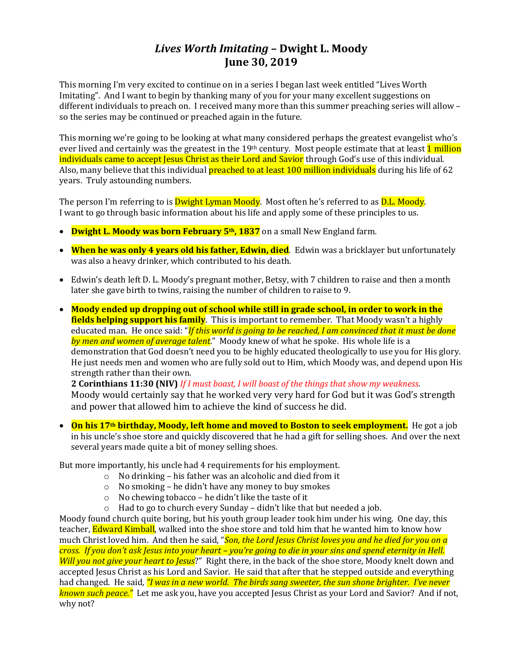# *Lives Worth Imitating* **– Dwight L. Moody June 30, 2019**

This morning I'm very excited to continue on in a series I began last week entitled "Lives Worth Imitating". And I want to begin by thanking many of you for your many excellent suggestions on different individuals to preach on. I received many more than this summer preaching series will allow – so the series may be continued or preached again in the future.

This morning we're going to be looking at what many considered perhaps the greatest evangelist who's ever lived and certainly was the greatest in the 19<sup>th</sup> century. Most people estimate that at least 1 million individuals came to accept Jesus Christ as their Lord and Savior through God's use of this individual. Also, many believe that this individual **preached to at least 100 million individuals** during his life of 62 years. Truly astounding numbers.

The person I'm referring to is **Dwight Lyman Moody**. Most often he's referred to as **D.L. Moody**. I want to go through basic information about his life and apply some of these principles to us.

- **Dwight L. Moody was born February 5th, 1837** on a small New England farm.
- **When he was only 4 years old his father, Edwin, died**. Edwin was a bricklayer but unfortunately was also a heavy drinker, which contributed to his death.
- Edwin's death left D. L. Moody's pregnant mother, Betsy, with 7 children to raise and then a month later she gave birth to twins, raising the number of children to raise to 9.
- **Moody ended up dropping out of school while still in grade school, in order to work in the fields helping support his family**. This is important to remember. That Moody wasn't a highly educated man. He once said: "*If this world is going to be reached, I am convinced that it must be done by men and women of average talent*." Moody knew of what he spoke. His whole life is a demonstration that God doesn't need you to be highly educated theologically to use you for His glory. He just needs men and women who are fully sold out to Him, which Moody was, and depend upon His strength rather than their own.

**2 Corinthians 11:30 (NIV)** *If I must boast, I will boast of the things that show my weakness*. Moody would certainly say that he worked very very hard for God but it was God's strength and power that allowed him to achieve the kind of success he did.

• **On his 17th birthday, Moody, left home and moved to Boston to seek employment.** He got a job in his uncle's shoe store and quickly discovered that he had a gift for selling shoes. And over the next several years made quite a bit of money selling shoes.

But more importantly, his uncle had 4 requirements for his employment.

- o No drinking his father was an alcoholic and died from it
- o No smoking he didn't have any money to buy smokes
- o No chewing tobacco he didn't like the taste of it
- o Had to go to church every Sunday didn't like that but needed a job.

Moody found church quite boring, but his youth group leader took him under his wing. One day, this teacher, **Edward Kimball**, walked into the shoe store and told him that he wanted him to know how much Christ loved him. And then he said, "*Son, the Lord Jesus Christ loves you and he died for you on a cross. If you don't ask Jesus into your heart – you're going to die in your sins and spend eternity in Hell. Will you not give your heart to Jesus*?" Right there, in the back of the shoe store, Moody knelt down and accepted Jesus Christ as his Lord and Savior. He said that after that he stepped outside and everything had changed. He said, *"I was in a new world. The birds sang sweeter, the sun shone brighter. I've never known such peace."* Let me ask you, have you accepted Jesus Christ as your Lord and Savior? And if not, why not?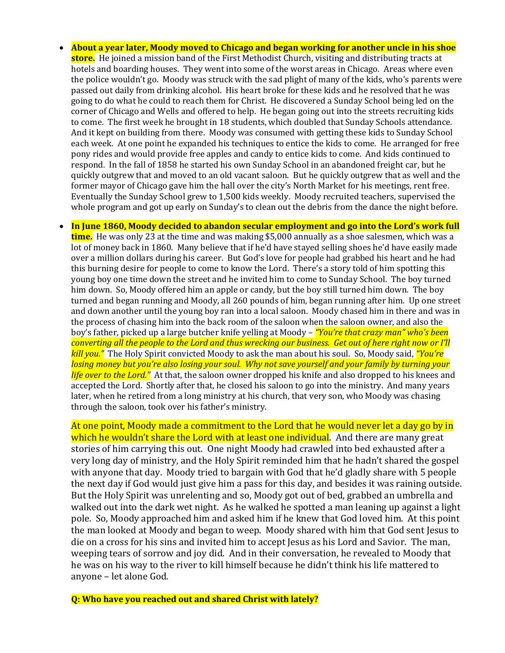- **About a year later, Moody moved to Chicago and began working for another uncle in his shoe store.** He joined a mission band of the First Methodist Church, visiting and distributing tracts at hotels and boarding houses. They went into some of the worst areas in Chicago. Areas where even the police wouldn't go. Moody was struck with the sad plight of many of the kids, who's parents were passed out daily from drinking alcohol. His heart broke for these kids and he resolved that he was going to do what he could to reach them for Christ. He discovered a Sunday School being led on the corner of Chicago and Wells and offered to help. He began going out into the streets recruiting kids to come. The first week he brought in 18 students, which doubled that Sunday Schools attendance. And it kept on building from there. Moody was consumed with getting these kids to Sunday School each week. At one point he expanded his techniques to entice the kids to come. He arranged for free pony rides and would provide free apples and candy to entice kids to come. And kids continued to respond. In the fall of 1858 he started his own Sunday School in an abandoned freight car, but he quickly outgrew that and moved to an old vacant saloon. But he quickly outgrew that as well and the former mayor of Chicago gave him the hall over the city's North Market for his meetings, rent free. Eventually the Sunday School grew to 1,500 kids weekly. Moody recruited teachers, supervised the whole program and got up early on Sunday's to clean out the debris from the dance the night before.
- **In June 1860, Moody decided to abandon secular employment and go into the Lord's work full time.** He was only 23 at the time and was making \$5,000 annually as a shoe salesmen, which was a lot of money back in 1860. Many believe that if he'd have stayed selling shoes he'd have easily made over a million dollars during his career. But God's love for people had grabbed his heart and he had this burning desire for people to come to know the Lord. There's a story told of him spotting this young boy one time down the street and he invited him to come to Sunday School. The boy turned him down. So, Moody offered him an apple or candy, but the boy still turned him down. The boy turned and began running and Moody, all 260 pounds of him, began running after him. Up one street and down another until the young boy ran into a local saloon. Moody chased him in there and was in the process of chasing him into the back room of the saloon when the saloon owner, and also the boy's father, picked up a large butcher knife yelling at Moody – *"You're that crazy man" who's been converting all the people to the Lord and thus wrecking our business. Get out of here right now or I'll kill you."* The Holy Spirit convicted Moody to ask the man about his soul. So, Moody said, *"You're losing money but you're also losing your soul. Why not save yourself and your family by turning your life over to the Lord."* At that, the saloon owner dropped his knife and also dropped to his knees and accepted the Lord. Shortly after that, he closed his saloon to go into the ministry. And many years later, when he retired from a long ministry at his church, that very son, who Moody was chasing through the saloon, took over his father's ministry.

At one point, Moody made a commitment to the Lord that he would never let a day go by in which he wouldn't share the Lord with at least one individual. And there are many great stories of him carrying this out. One night Moody had crawled into bed exhausted after a very long day of ministry, and the Holy Spirit reminded him that he hadn't shared the gospel with anyone that day. Moody tried to bargain with God that he'd gladly share with 5 people the next day if God would just give him a pass for this day, and besides it was raining outside. But the Holy Spirit was unrelenting and so, Moody got out of bed, grabbed an umbrella and walked out into the dark wet night. As he walked he spotted a man leaning up against a light pole. So, Moody approached him and asked him if he knew that God loved him. At this point the man looked at Moody and began to weep. Moody shared with him that God sent Jesus to die on a cross for his sins and invited him to accept Jesus as his Lord and Savior. The man, weeping tears of sorrow and joy did. And in their conversation, he revealed to Moody that he was on his way to the river to kill himself because he didn't think his life mattered to anyone – let alone God.

**Q: Who have you reached out and shared Christ with lately?**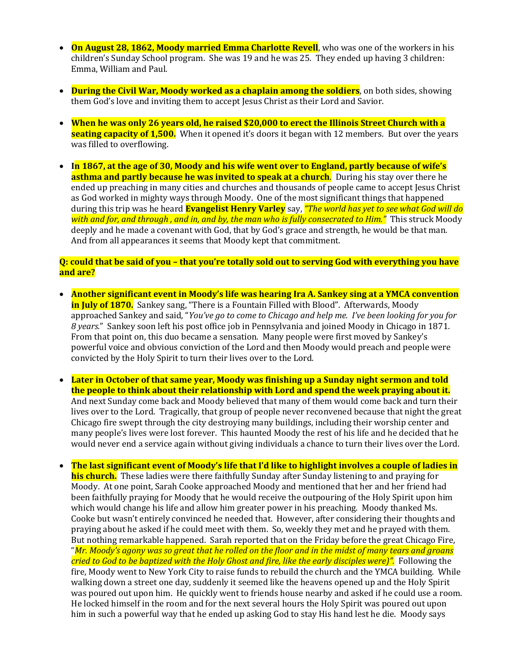- **On August 28, 1862, Moody married Emma Charlotte Revell**, who was one of the workers in his children's Sunday School program. She was 19 and he was 25. They ended up having 3 children: Emma, William and Paul.
- **During the Civil War, Moody worked as a chaplain among the soldiers**, on both sides, showing them God's love and inviting them to accept Jesus Christ as their Lord and Savior.
- **When he was only 26 years old, he raised \$20,000 to erect the Illinois Street Church with a seating capacity of 1,500.** When it opened it's doors it began with 12 members. But over the years was filled to overflowing.
- **In 1867, at the age of 30, Moody and his wife went over to England, partly because of wife's asthma and partly because he was invited to speak at a church.** During his stay over there he ended up preaching in many cities and churches and thousands of people came to accept Jesus Christ as God worked in mighty ways through Moody. One of the most significant things that happened during this trip was he heard **Evangelist Henry Varley** say, *"The world has yet to see what God will do with and for, and through , and in, and by, the man who is fully consecrated to Him."* This struck Moody deeply and he made a covenant with God, that by God's grace and strength, he would be that man. And from all appearances it seems that Moody kept that commitment.

## **Q: could that be said of you – that you're totally sold out to serving God with everything you have and are?**

- **Another significant event in Moody's life was hearing Ira A. Sankey sing at a YMCA convention in July of 1870.** Sankey sang, "There is a Fountain Filled with Blood". Afterwards, Moody approached Sankey and said, "*You've go to come to Chicago and help me. I've been looking for you for 8 years.*" Sankey soon left his post office job in Pennsylvania and joined Moody in Chicago in 1871. From that point on, this duo became a sensation. Many people were first moved by Sankey's powerful voice and obvious conviction of the Lord and then Moody would preach and people were convicted by the Holy Spirit to turn their lives over to the Lord.
- **Later in October of that same year, Moody was finishing up a Sunday night sermon and told the people to think about their relationship with Lord and spend the week praying about it.** And next Sunday come back and Moody believed that many of them would come back and turn their lives over to the Lord. Tragically, that group of people never reconvened because that night the great Chicago fire swept through the city destroying many buildings, including their worship center and many people's lives were lost forever. This haunted Moody the rest of his life and he decided that he would never end a service again without giving individuals a chance to turn their lives over the Lord.
- **The last significant event of Moody's life that I'd like to highlight involves a couple of ladies in his church.** These ladies were there faithfully Sunday after Sunday listening to and praying for Moody. At one point, Sarah Cooke approached Moody and mentioned that her and her friend had been faithfully praying for Moody that he would receive the outpouring of the Holy Spirit upon him which would change his life and allow him greater power in his preaching. Moody thanked Ms. Cooke but wasn't entirely convinced he needed that. However, after considering their thoughts and praying about he asked if he could meet with them. So, weekly they met and he prayed with them. But nothing remarkable happened. Sarah reported that on the Friday before the great Chicago Fire, "*Mr. Moody's agony was so great that he rolled on the floor and in the midst of many tears and groans cried to God to be baptized with the Holy Ghost and fire, like the early disciples were)".* Following the fire, Moody went to New York City to raise funds to rebuild the church and the YMCA building. While walking down a street one day, suddenly it seemed like the heavens opened up and the Holy Spirit was poured out upon him. He quickly went to friends house nearby and asked if he could use a room. He locked himself in the room and for the next several hours the Holy Spirit was poured out upon him in such a powerful way that he ended up asking God to stay His hand lest he die. Moody says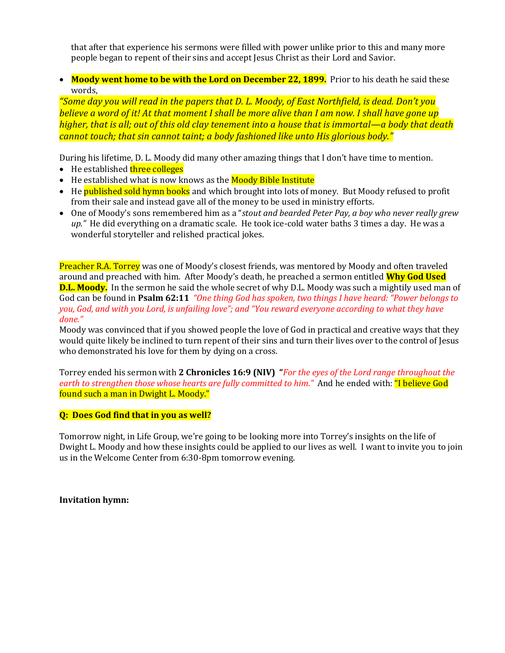that after that experience his sermons were filled with power unlike prior to this and many more people began to repent of their sins and accept Jesus Christ as their Lord and Savior.

• Moody went home to be with the Lord on December 22, 1899. Prior to his death he said these words,

*"Some day you will read in the papers that D. L. Moody, of East Northfield, is dead. Don't you believe a word of it! At that moment I shall be more alive than I am now. I shall have gone up higher, that is all; out of this old clay tenement into a house that is immortal—a body that death cannot touch; that sin cannot taint; a body fashioned like unto His glorious body."*

During his lifetime, D. L. Moody did many other amazing things that I don't have time to mention.

- He established **three colleges**
- He established what is now knows as the **Moody Bible Institute**
- He **published sold hymn books** and which brought into lots of money. But Moody refused to profit from their sale and instead gave all of the money to be used in ministry efforts.
- One of Moody's sons remembered him as a "*stout and bearded Peter Pay, a boy who never really grew up."* He did everything on a dramatic scale. He took ice-cold water baths 3 times a day. He was a wonderful storyteller and relished practical jokes.

Preacher R.A. Torrey was one of Moody's closest friends, was mentored by Moody and often traveled around and preached with him. After Moody's death, he preached a sermon entitled **Why God Used D.L. Moody.** In the sermon he said the whole secret of why D.L. Moody was such a mightily used man of God can be found in **Psalm 62:11** *"One thing God has spoken, two things I have heard: "Power belongs to you, God, and with you Lord, is unfailing love"; and "You reward everyone according to what they have done."*

Moody was convinced that if you showed people the love of God in practical and creative ways that they would quite likely be inclined to turn repent of their sins and turn their lives over to the control of Jesus who demonstrated his love for them by dying on a cross.

Torrey ended his sermon with **2 Chronicles 16:9 (NIV) "***For the eyes of the Lord range throughout the earth to strengthen those whose hearts are fully committed to him."* And he ended with: "I believe God found such a man in Dwight L. Moody."

#### **Q: Does God find that in you as well?**

Tomorrow night, in Life Group, we're going to be looking more into Torrey's insights on the life of Dwight L. Moody and how these insights could be applied to our lives as well. I want to invite you to join us in the Welcome Center from 6:30-8pm tomorrow evening.

**Invitation hymn:**